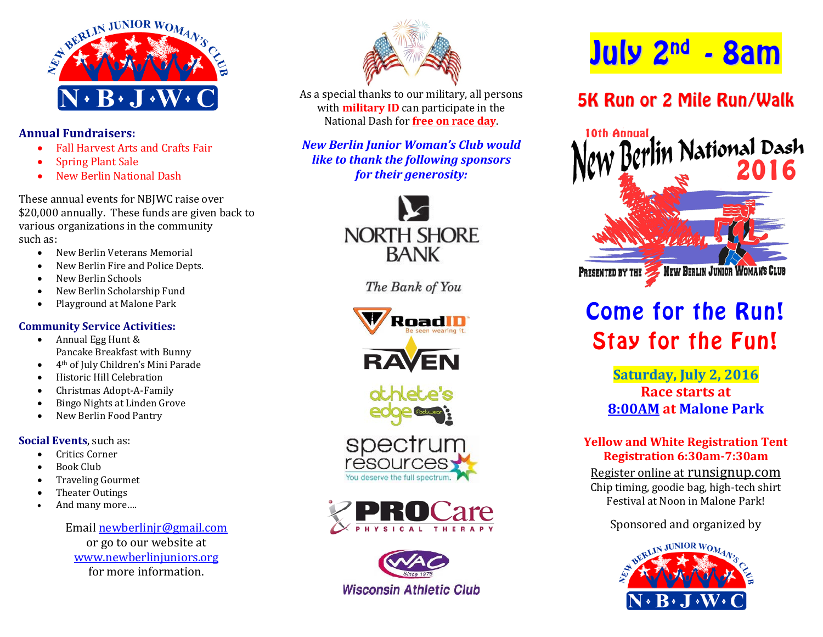

### **Annual Fundraisers:**

- Fall Harvest Arts and Crafts Fair<br>• Spring Plant Sale
- Spring Plant Sale
- New Berlin National Dash

These annual events for NBJWC raise over \$20,000 annually. These funds are given back to various organizations in the community such as:

- New Berlin Veterans Memorial
- New Berlin Fire and Police Depts.
- New Berlin Schools
- New Berlin Scholarship Fund
- Playground at Malone Park

## **Community Service Activities:**

- Annual Egg Hunt & Pancake Breakfast with Bunny
- 4th of July Children's Mini Parade
- Historic Hill Celebration
- Christmas Adopt-A-Family
- Bingo Nights at Linden Grove
- New Berlin Food Pantry

## **Social Events**, such as:

- Critics Corner
- Book Club
- Traveling Gourmet
- Theater Outings
- And many more….

Email [newberlinjr@gmail.com](mailto:newberlinjr@gmail.com) or go to our website at [www.newberlinjuniors.org](http://www.newberlinjuniors.org/) for more information.



As a special thanks to our military, all persons with **military ID** can participate in the National Dash for **free on race day**.

*New Berlin Junior Woman's Club would like to thank the following sponsors for their generosity:*



The Bank of You











# July 2nd - 8am

## 5K Run or 2 Mile Run/Walk



## Come for the Run! Stay for the Fun!

**Saturday, July 2, 2016 Race starts at 8:00AM at Malone Park**

## **Yellow and White Registration Tent Registration 6:30am-7:30am**

Register online at runsignup.com Chip timing, goodie bag, high-tech shirt Festival at Noon in Malone Park!

Sponsored and organized by